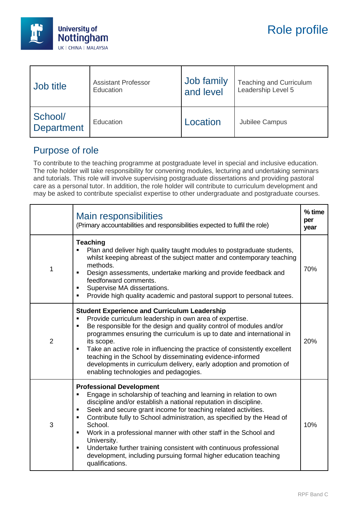

| Job title             | <b>Assistant Professor</b> | Job family | <b>Teaching and Curriculum</b> |
|-----------------------|----------------------------|------------|--------------------------------|
|                       | Education                  | and level  | Leadership Level 5             |
| School/<br>Department | Education                  | Location   | <b>Jubilee Campus</b>          |

## Purpose of role

To contribute to the teaching programme at postgraduate level in special and inclusive education. The role holder will take responsibility for convening modules, lecturing and undertaking seminars and tutorials. This role will involve supervising postgraduate dissertations and providing pastoral care as a personal tutor. In addition, the role holder will contribute to curriculum development and may be asked to contribute specialist expertise to other undergraduate and postgraduate courses.

|                | <b>Main responsibilities</b><br>(Primary accountabilities and responsibilities expected to fulfil the role)                                                                                                                                                                                                                                                                                                                                                                                                                                                                                                                          | % time<br>per<br>year |
|----------------|--------------------------------------------------------------------------------------------------------------------------------------------------------------------------------------------------------------------------------------------------------------------------------------------------------------------------------------------------------------------------------------------------------------------------------------------------------------------------------------------------------------------------------------------------------------------------------------------------------------------------------------|-----------------------|
| 1              | <b>Teaching</b><br>Plan and deliver high quality taught modules to postgraduate students,<br>whilst keeping abreast of the subject matter and contemporary teaching<br>methods.<br>Design assessments, undertake marking and provide feedback and<br>feedforward comments.<br>Supervise MA dissertations.<br>٠<br>Provide high quality academic and pastoral support to personal tutees.                                                                                                                                                                                                                                             | 70%                   |
| $\overline{2}$ | <b>Student Experience and Curriculum Leadership</b><br>Provide curriculum leadership in own area of expertise.<br>٠<br>Be responsible for the design and quality control of modules and/or<br>$\blacksquare$<br>programmes ensuring the curriculum is up to date and international in<br>its scope.<br>Take an active role in influencing the practice of consistently excellent<br>$\blacksquare$<br>teaching in the School by disseminating evidence-informed<br>developments in curriculum delivery, early adoption and promotion of<br>enabling technologies and pedagogies.                                                     | 20%                   |
| 3              | <b>Professional Development</b><br>Engage in scholarship of teaching and learning in relation to own<br>discipline and/or establish a national reputation in discipline.<br>Seek and secure grant income for teaching related activities.<br>$\blacksquare$<br>Contribute fully to School administration, as specified by the Head of<br>$\blacksquare$<br>School.<br>Work in a professional manner with other staff in the School and<br>University.<br>Undertake further training consistent with continuous professional<br>$\blacksquare$<br>development, including pursuing formal higher education teaching<br>qualifications. | 10%                   |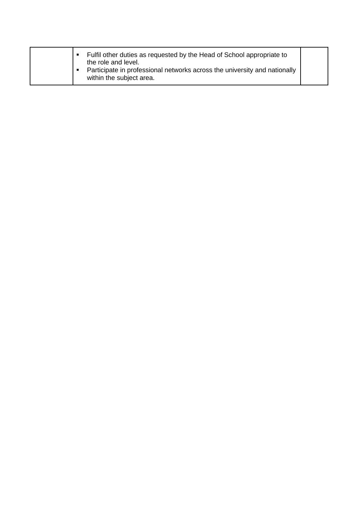| Fulfil other duties as requested by the Head of School appropriate to<br>the role and level.<br>Participate in professional networks across the university and nationally<br>within the subject area. |  |
|-------------------------------------------------------------------------------------------------------------------------------------------------------------------------------------------------------|--|
|-------------------------------------------------------------------------------------------------------------------------------------------------------------------------------------------------------|--|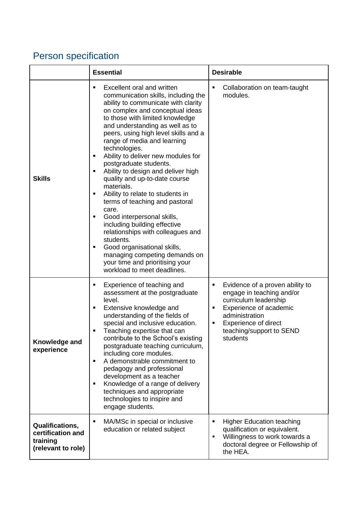## Person specification

|                                                                               | <b>Essential</b>                                                                                                                                                                                                                                                                                                                                                                                                                                                                                                                                                                                                                                                                                                                                                                                                              | <b>Desirable</b>                                                                                                                                                                                                        |
|-------------------------------------------------------------------------------|-------------------------------------------------------------------------------------------------------------------------------------------------------------------------------------------------------------------------------------------------------------------------------------------------------------------------------------------------------------------------------------------------------------------------------------------------------------------------------------------------------------------------------------------------------------------------------------------------------------------------------------------------------------------------------------------------------------------------------------------------------------------------------------------------------------------------------|-------------------------------------------------------------------------------------------------------------------------------------------------------------------------------------------------------------------------|
| <b>Skills</b>                                                                 | Excellent oral and written<br>٠<br>communication skills, including the<br>ability to communicate with clarity<br>on complex and conceptual ideas<br>to those with limited knowledge<br>and understanding as well as to<br>peers, using high level skills and a<br>range of media and learning<br>technologies.<br>Ability to deliver new modules for<br>٠<br>postgraduate students.<br>Ability to design and deliver high<br>٠<br>quality and up-to-date course<br>materials.<br>Ability to relate to students in<br>٠<br>terms of teaching and pastoral<br>care.<br>Good interpersonal skills,<br>٠<br>including building effective<br>relationships with colleagues and<br>students.<br>Good organisational skills,<br>٠<br>managing competing demands on<br>your time and prioritising your<br>workload to meet deadlines. | ٠<br>Collaboration on team-taught<br>modules.                                                                                                                                                                           |
| Knowledge and<br>experience                                                   | Experience of teaching and<br>٠<br>assessment at the postgraduate<br>level.<br>Extensive knowledge and<br>٠<br>understanding of the fields of<br>special and inclusive education.<br>Teaching expertise that can<br>contribute to the School's existing<br>postgraduate teaching curriculum,<br>including core modules.<br>A demonstrable commitment to<br>٠<br>pedagogy and professional<br>development as a teacher<br>Knowledge of a range of delivery<br>٠<br>techniques and appropriate<br>technologies to inspire and<br>engage students.                                                                                                                                                                                                                                                                               | Evidence of a proven ability to<br>٠<br>engage in teaching and/or<br>curriculum leadership<br>Experience of academic<br>٠<br>administration<br><b>Experience of direct</b><br>٠<br>teaching/support to SEND<br>students |
| <b>Qualifications,</b><br>certification and<br>training<br>(relevant to role) | MA/MSc in special or inclusive<br>٠<br>education or related subject                                                                                                                                                                                                                                                                                                                                                                                                                                                                                                                                                                                                                                                                                                                                                           | <b>Higher Education teaching</b><br>$\blacksquare$<br>qualification or equivalent.<br>Willingness to work towards a<br>٠<br>doctoral degree or Fellowship of<br>the HEA.                                                |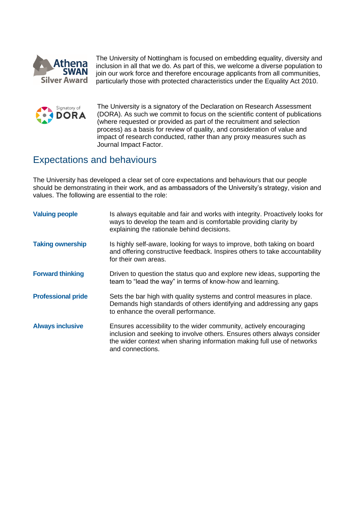

The University of Nottingham is focused on embedding equality, diversity and inclusion in all that we do. As part of this, we welcome a diverse population to join our work force and therefore encourage applicants from all communities, particularly those with protected characteristics under the Equality Act 2010.



The University is a signatory of the Declaration on Research Assessment (DORA). As such we commit to focus on the scientific content of publications (where requested or provided as part of the recruitment and selection process) as a basis for review of quality, and consideration of value and impact of research conducted, rather than any proxy measures such as Journal Impact Factor.

## Expectations and behaviours

The University has developed a clear set of core expectations and behaviours that our people should be demonstrating in their work, and as ambassadors of the University's strategy, vision and values. The following are essential to the role:

| <b>Valuing people</b>     | Is always equitable and fair and works with integrity. Proactively looks for<br>ways to develop the team and is comfortable providing clarity by<br>explaining the rationale behind decisions.                                              |
|---------------------------|---------------------------------------------------------------------------------------------------------------------------------------------------------------------------------------------------------------------------------------------|
| <b>Taking ownership</b>   | Is highly self-aware, looking for ways to improve, both taking on board<br>and offering constructive feedback. Inspires others to take accountability<br>for their own areas.                                                               |
| <b>Forward thinking</b>   | Driven to question the status quo and explore new ideas, supporting the<br>team to "lead the way" in terms of know-how and learning.                                                                                                        |
| <b>Professional pride</b> | Sets the bar high with quality systems and control measures in place.<br>Demands high standards of others identifying and addressing any gaps<br>to enhance the overall performance.                                                        |
| <b>Always inclusive</b>   | Ensures accessibility to the wider community, actively encouraging<br>inclusion and seeking to involve others. Ensures others always consider<br>the wider context when sharing information making full use of networks<br>and connections. |